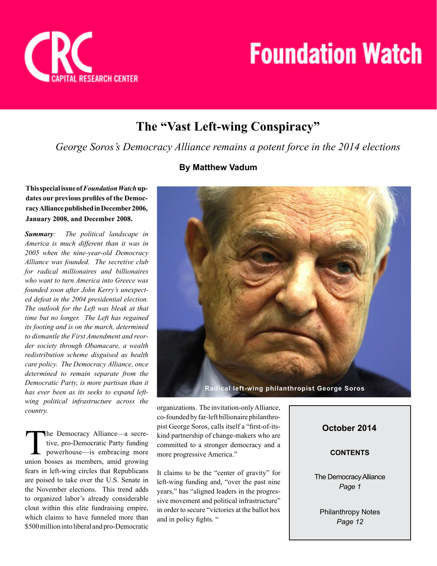

# **The "Vast Left-wing Conspiracy"**

*George Soros's Democracy Alliance remains a potent force in the 2014 elections*

# **By Matthew Vadum**



*Summary: The political landscape in America is much different than it was in 2005 when the nine-year-old Democracy Alliance was founded. The secretive club for radical millionaires and billionaires who want to turn America into Greece was founded soon after John Kerry's unexpected defeat in the 2004 presidential election. The outlook for the Left was bleak at that time but no longer. The Left has regained its footing and is on the march, determined to dismantle the First Amendment and reorder society through Obamacare, a wealth redistribution scheme disguised as health care policy. The Democracy Alliance, once determined to remain separate from the Democratic Party, is more partisan than it has ever been as its seeks to expand leftwing political infrastructure across the country.*

The Democracy Alliance—a secre-<br>tive, pro-Democratic Party funding<br>powerhouse—is embracing more<br>union bosses as members, amid growing he Democracy Alliance—a secretive, pro-Democratic Party funding powerhouse—is embracing more fears in left-wing circles that Republicans are poised to take over the U.S. Senate in the November elections. This trend adds to organized labor's already considerable clout within this elite fundraising empire, which claims to have funneled more than \$500 million into liberal and pro-Democratic



organizations. The invitation-only Alliance, co-founded by far-left billionaire philanthropist George Soros, calls itself a "first-of-itskind partnership of change-makers who are committed to a stronger democracy and a more progressive America."

It claims to be the "center of gravity" for left-wing funding and, "over the past nine years," has "aligned leaders in the progressive movement and political infrastructure" in order to secure "victories at the ballot box and in policy fights. "

# **October 2014**

### **CONTENTS**

The Democracy Alliance *Page 1*

Philanthropy Notes *Page 12*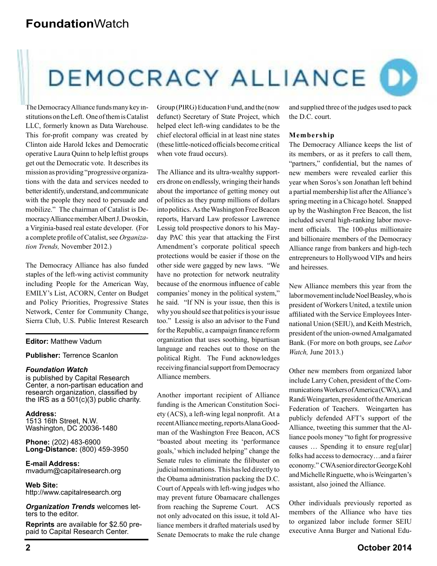# DEMOCRACY ALLIANCE D

The Democracy Alliance funds many key institutions on the Left. One of them is Catalist LLC, formerly known as Data Warehouse. This for-profit company was created by Clinton aide Harold Ickes and Democratic operative Laura Quinn to help leftist groups get out the Democratic vote. It describes its mission as providing "progressive organizations with the data and services needed to better identify, understand, and communicate with the people they need to persuade and mobilize." The chairman of Catalist is Democracy Alliance member Albert J. Dwoskin, a Virginia-based real estate developer. (For a complete profile of Catalist, see *Organization Trends,* November 2012.)

The Democracy Alliance has also funded staples of the left-wing activist community including People for the American Way, EMILY's List, ACORN, Center on Budget and Policy Priorities, Progressive States Network, Center for Community Change, Sierra Club, U.S. Public Interest Research

#### **Editor:** Matthew Vadum

#### **Publisher:** Terrence Scanlon

#### *Foundation Watch*

is published by Capital Research Center, a non-partisan education and research organization, classified by the IRS as a 501(c)(3) public charity.

**Address:** 1513 16th Street, N.W. Washington, DC 20036-1480

**Phone:** (202) 483-6900 **Long-Distance:** (800) 459-3950

**E-mail Address:** mvadum@capitalresearch.org

**Web Site:** http://www.capitalresearch.org

*Organization Trends* welcomes letters to the editor.

**Reprints** are available for \$2.50 prepaid to Capital Research Center.

Group (PIRG) Education Fund, and the (now defunct) Secretary of State Project, which helped elect left-wing candidates to be the chief electoral official in at least nine states (these little-noticed officials become critical when vote fraud occurs).

The Alliance and its ultra-wealthy supporters drone on endlessly, wringing their hands about the importance of getting money out of politics as they pump millions of dollars into politics. As the Washington Free Beacon reports, Harvard Law professor Lawrence Lessig told prospective donors to his Mayday PAC this year that attacking the First Amendment's corporate political speech protections would be easier if those on the other side were gagged by new laws. "We have no protection for network neutrality because of the enormous influence of cable companies' money in the political system," he said. "If NN is your issue, then this is why you should see that politics is your issue too." Lessig is also an advisor to the Fund for the Republic, a campaign finance reform organization that uses soothing, bipartisan language and reaches out to those on the political Right. The Fund acknowledges receiving financial support from Democracy Alliance members.

Another important recipient of Alliance funding is the American Constitution Society (ACS), a left-wing legal nonprofit. At a recent Alliance meeting, reports Alana Goodman of the Washington Free Beacon, ACS "boasted about meeting its 'performance goals,' which included helping" change the Senate rules to eliminate the filibuster on judicial nominations. This has led directly to the Obama administration packing the D.C. Court of Appeals with left-wing judges who may prevent future Obamacare challenges from reaching the Supreme Court. ACS not only advocated on this issue, it told Alliance members it drafted materials used by Senate Democrats to make the rule change

and supplied three of the judges used to pack the D.C. court.

#### **Membership**

The Democracy Alliance keeps the list of its members, or as it prefers to call them, "partners," confidential, but the names of new members were revealed earlier this year when Soros's son Jonathan left behind a partial membership list after the Alliance's spring meeting in a Chicago hotel. Snapped up by the Washington Free Beacon, the list included several high-ranking labor movement officials. The 100-plus millionaire and billionaire members of the Democracy Alliance range from bankers and high-tech entrepreneurs to Hollywood VIPs and heirs and heiresses.

New Alliance members this year from the labor movement include Noel Beasley, who is president of Workers United, a textile union affiliated with the Service Employees International Union (SEIU), and Keith Mestrich, president of the union-owned Amalgamated Bank. (For more on both groups, see *Labor Watch,* June 2013.)

Other new members from organized labor include Larry Cohen, president of the Communications Workers of America (CWA), and Randi Weingarten, president of the American Federation of Teachers. Weingarten has publicly defended AFT's support of the Alliance, tweeting this summer that the Alliance pools money "to fight for progressive" causes … Spending it to ensure reg[ular] folks had access to democracy…and a fairer economy." CWA senior director George Kohl and Michelle Ringuette, who is Weingarten's assistant, also joined the Alliance.

Other individuals previously reported as members of the Alliance who have ties to organized labor include former SEIU executive Anna Burger and National Edu-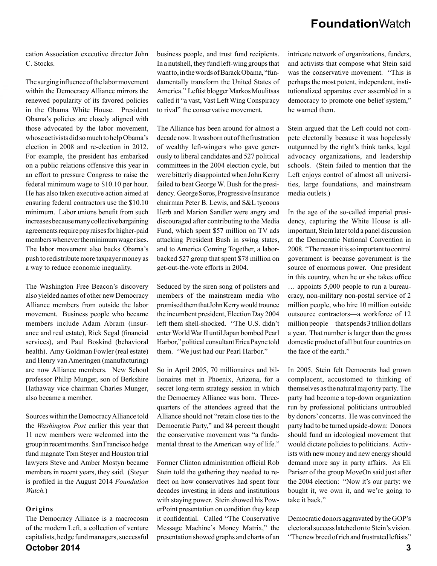cation Association executive director John C. Stocks.

The surging influence of the labor movement within the Democracy Alliance mirrors the renewed popularity of its favored policies in the Obama White House. President Obama's policies are closely aligned with those advocated by the labor movement, whose activists did so much to help Obama's election in 2008 and re-election in 2012. For example, the president has embarked on a public relations offensive this year in an effort to pressure Congress to raise the federal minimum wage to \$10.10 per hour. He has also taken executive action aimed at ensuring federal contractors use the \$10.10 minimum. Labor unions benefit from such increases because many collective bargaining agreements require pay raises for higher-paid members whenever the minimum wage rises. The labor movement also backs Obama's push to redistribute more taxpayer money as a way to reduce economic inequality.

The Washington Free Beacon's discovery also yielded names of other new Democracy Alliance members from outside the labor movement. Business people who became members include Adam Abram (insurance and real estate), Rick Segal (financial services), and Paul Boskind (behavioral health). Amy Goldman Fowler (real estate) and Henry van Ameringen (manufacturing) are now Alliance members. New School professor Philip Munger, son of Berkshire Hathaway vice chairman Charles Munger, also became a member.

Sources within the Democracy Alliance told the *Washington Post* earlier this year that 11 new members were welcomed into the group in recent months. San Francisco hedge fund magnate Tom Steyer and Houston trial lawyers Steve and Amber Mostyn became members in recent years, they said. (Steyer is profiled in the August 2014 *Foundation Watch.*)

#### **Origins**

**October 2014 3** The Democracy Alliance is a macrocosm of the modern Left, a collection of venture capitalists, hedge fund managers, successful

business people, and trust fund recipients. In a nutshell, they fund left-wing groups that want to, in the words of Barack Obama, "fundamentally transform the United States of America." Leftist blogger Markos Moulitsas called it "a vast, Vast Left Wing Conspiracy to rival" the conservative movement.

The Alliance has been around for almost a decade now. It was born out of the frustration of wealthy left-wingers who gave generously to liberal candidates and 527 political committees in the 2004 election cycle, but were bitterly disappointed when John Kerry failed to beat George W. Bush for the presidency. George Soros, Progressive Insurance chairman Peter B. Lewis, and S&L tycoons Herb and Marion Sandler were angry and discouraged after contributing to the Media Fund, which spent \$57 million on TV ads attacking President Bush in swing states, and to America Coming Together, a laborbacked 527 group that spent \$78 million on get-out-the-vote efforts in 2004.

Seduced by the siren song of pollsters and members of the mainstream media who promised them that John Kerry would trounce the incumbent president, Election Day 2004 left them shell-shocked. "The U.S. didn't enter World War II until Japan bombed Pearl Harbor," political consultant Erica Payne told them. "We just had our Pearl Harbor."

So in April 2005, 70 millionaires and billionaires met in Phoenix, Arizona, for a secret long-term strategy session in which the Democracy Alliance was born. Threequarters of the attendees agreed that the Alliance should not "retain close ties to the Democratic Party," and 84 percent thought the conservative movement was "a fundamental threat to the American way of life."

Former Clinton administration official Rob Stein told the gathering they needed to reflect on how conservatives had spent four decades investing in ideas and institutions with staying power. Stein showed his PowerPoint presentation on condition they keep it confidential. Called "The Conservative Message Machine's Money Matrix," the presentation showed graphs and charts of an

intricate network of organizations, funders, and activists that compose what Stein said was the conservative movement. "This is perhaps the most potent, independent, institutionalized apparatus ever assembled in a democracy to promote one belief system," he warned them.

Stein argued that the Left could not compete electorally because it was hopelessly outgunned by the right's think tanks, legal advocacy organizations, and leadership schools. (Stein failed to mention that the Left enjoys control of almost all universities, large foundations, and mainstream media outlets.)

In the age of the so-called imperial presidency, capturing the White House is allimportant, Stein later told a panel discussion at the Democratic National Convention in 2008. "The reason it is so important to control government is because government is the source of enormous power. One president in this country, when he or she takes office … appoints 5,000 people to run a bureaucracy, non-military non-postal service of 2 million people, who hire 10 million outside outsource contractors—a workforce of 12 million people—that spends 3 trillion dollars a year. That number is larger than the gross domestic product of all but four countries on the face of the earth."

In 2005, Stein felt Democrats had grown complacent, accustomed to thinking of themselves as the natural majority party. The party had become a top-down organization run by professional politicians untroubled by donors' concerns. He was convinced the party had to be turned upside-down: Donors should fund an ideological movement that would dictate policies to politicians. Activists with new money and new energy should demand more say in party affairs. As Eli Pariser of the group MoveOn said just after the 2004 election: "Now it's our party: we bought it, we own it, and we're going to take it back."

Democratic donors aggravated by the GOP's electoral success latched on to Stein's vision. "The new breed of rich and frustrated leftists"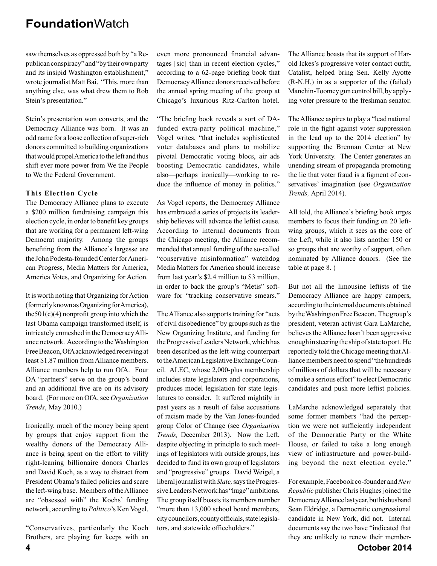saw themselves as oppressed both by "a Republican conspiracy" and "by their own party and its insipid Washington establishment," wrote journalist Matt Bai. "This, more than anything else, was what drew them to Rob Stein's presentation."

Stein's presentation won converts, and the Democracy Alliance was born. It was an odd name for a loose collection of super-rich donors committed to building organizations that would propel America to the left and thus shift ever more power from We the People to We the Federal Government.

#### **This Election Cycle**

The Democracy Alliance plans to execute a \$200 million fundraising campaign this election cycle, in order to benefit key groups that are working for a permanent left-wing Democrat majority. Among the groups benefiting from the Alliance's largesse are the John Podesta-founded Center for American Progress, Media Matters for America, America Votes, and Organizing for Action.

It is worth noting that Organizing for Action (formerly known as Organizing for America), the  $501(c)(4)$  nonprofit group into which the last Obama campaign transformed itself, is intricately enmeshed in the Democracy Alliance network. According to the Washington Free Beacon, OfA acknowledged receiving at least \$1.87 million from Alliance members. Alliance members help to run OfA. Four DA "partners" serve on the group's board and an additional five are on its advisory board. (For more on OfA, see *Organization Trends*, May 2010.)

Ironically, much of the money being spent by groups that enjoy support from the wealthy donors of the Democracy Alliance is being spent on the effort to vilify right-leaning billionaire donors Charles and David Koch, as a way to distract from President Obama's failed policies and scare the left-wing base. Members of the Alliance are "obsessed with" the Kochs' funding network, according to *Politico*'s Ken Vogel.

"Conservatives, particularly the Koch Brothers, are playing for keeps with an

even more pronounced financial advantages [sic] than in recent election cycles," according to a 62-page briefing book that Democracy Alliance donors received before the annual spring meeting of the group at Chicago's luxurious Ritz-Carlton hotel.

"The briefing book reveals a sort of DAfunded extra-party political machine," Vogel writes, "that includes sophisticated voter databases and plans to mobilize pivotal Democratic voting blocs, air ads boosting Democratic candidates, while also—perhaps ironically—working to reduce the influence of money in politics."

As Vogel reports, the Democracy Alliance has embraced a series of projects its leadership believes will advance the leftist cause. According to internal documents from the Chicago meeting, the Alliance recommended that annual funding of the so-called "conservative misinformation" watchdog Media Matters for America should increase from last year's \$2.4 million to \$3 million, in order to back the group's "Metis" software for "tracking conservative smears."

The Alliance also supports training for "acts of civil disobedience" by groups such as the New Organizing Institute, and funding for the Progressive Leaders Network, which has been described as the left-wing counterpart to the American Legislative Exchange Council. ALEC, whose 2,000-plus membership includes state legislators and corporations, produces model legislation for state legislatures to consider. It suffered mightily in past years as a result of false accusations of racism made by the Van Jones-founded group Color of Change (see *Organization Trends,* December 2013). Now the Left, despite objecting in principle to such meetings of legislators with outside groups, has decided to fund its own group of legislators and "progressive" groups. David Weigel, a liberal journalist with *Slate,* says the Progressive Leaders Network has "huge" ambitions. The group itself boasts its members number "more than 13,000 school board members, city councilors, county officials, state legislators, and statewide officeholders."

The Alliance boasts that its support of Harold Ickes's progressive voter contact outfit, Catalist, helped bring Sen. Kelly Ayotte (R-N.H.) in as a supporter of the (failed) Manchin-Toomey gun control bill, by applying voter pressure to the freshman senator.

The Alliance aspires to play a "lead national role in the fight against voter suppression in the lead up to the 2014 election" by supporting the Brennan Center at New York University. The Center generates an unending stream of propaganda promoting the lie that voter fraud is a figment of conservatives' imagination (see *Organization Trends,* April 2014).

All told, the Alliance's briefing book urges members to focus their funding on 20 leftwing groups, which it sees as the core of the Left, while it also lists another 150 or so groups that are worthy of support, often nominated by Alliance donors. (See the table at page 8. )

But not all the limousine leftists of the Democracy Alliance are happy campers, according to the internal documents obtained by the Washington Free Beacon. The group's president, veteran activist Gara LaMarche, believes the Alliance hasn't been aggressive enough in steering the ship of state to port. He reportedly told the Chicago meeting that Alliance members need to spend "the hundreds of millions of dollars that will be necessary to make a serious effort" to elect Democratic candidates and push more leftist policies.

LaMarche acknowledged separately that some former members "had the perception we were not sufficiently independent of the Democratic Party or the White House, or failed to take a long enough view of infrastructure and power-building beyond the next election cycle."

For example, Facebook co-founder and *New Republic* publisher Chris Hughes joined the Democracy Alliance last year, but his husband Sean Eldridge, a Democratic congressional candidate in New York, did not. Internal documents say the two have "indicated that they are unlikely to renew their member-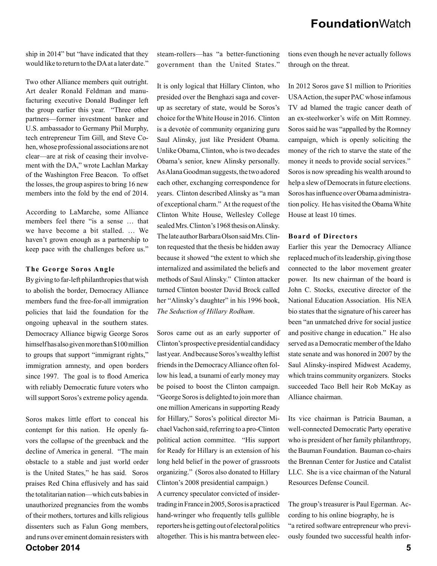ship in 2014" but "have indicated that they would like to return to the DA at a later date."

Two other Alliance members quit outright. Art dealer Ronald Feldman and manufacturing executive Donald Budinger left the group earlier this year. "Three other partners—former investment banker and U.S. ambassador to Germany Phil Murphy, tech entrepreneur Tim Gill, and Steve Cohen, whose professional associations are not clear—are at risk of ceasing their involvement with the DA," wrote Lachlan Markay of the Washington Free Beacon. To offset the losses, the group aspires to bring 16 new members into the fold by the end of 2014.

According to LaMarche, some Alliance members feel there "is a sense … that we have become a bit stalled. … We haven't grown enough as a partnership to keep pace with the challenges before us."

#### **The George Soros Angle**

By giving to far-left philanthropies that wish to abolish the border, Democracy Alliance members fund the free-for-all immigration policies that laid the foundation for the ongoing upheaval in the southern states. Democracy Alliance bigwig George Soros himself has also given more than \$100 million to groups that support "immigrant rights," immigration amnesty, and open borders since 1997. The goal is to flood America with reliably Democratic future voters who will support Soros's extreme policy agenda.

**October 2014 5** Soros makes little effort to conceal his contempt for this nation. He openly favors the collapse of the greenback and the decline of America in general. "The main obstacle to a stable and just world order is the United States," he has said. Soros praises Red China effusively and has said the totalitarian nation—which cuts babies in unauthorized pregnancies from the wombs of their mothers, tortures and kills religious dissenters such as Falun Gong members, and runs over eminent domain resisters with

steam-rollers—has "a better-functioning government than the United States."

It is only logical that Hillary Clinton, who presided over the Benghazi saga and coverup as secretary of state, would be Soros's choice for the White House in 2016. Clinton is a devotée of community organizing guru Saul Alinsky, just like President Obama. Unlike Obama, Clinton, who is two decades Obama's senior, knew Alinsky personally. As Alana Goodman suggests, the two adored each other, exchanging correspondence for years. Clinton described Alinsky as "a man of exceptional charm." At the request of the Clinton White House, Wellesley College sealed Mrs. Clinton's 1968 thesis on Alinsky. The late author Barbara Olson said Mrs. Clinton requested that the thesis be hidden away because it showed "the extent to which she internalized and assimilated the beliefs and methods of Saul Alinsky." Clinton attacker turned Clinton booster David Brock called her "Alinsky's daughter" in his 1996 book, *The Seduction of Hillary Rodham*.

Soros came out as an early supporter of Clinton's prospective presidential candidacy last year. And because Soros's wealthy leftist friends in the Democracy Alliance often follow his lead, a tsunami of early money may be poised to boost the Clinton campaign. "George Soros is delighted to join more than one million Americans in supporting Ready for Hillary," Soros's political director Michael Vachon said, referring to a pro-Clinton political action committee. "His support for Ready for Hillary is an extension of his long held belief in the power of grassroots organizing." (Soros also donated to Hillary Clinton's 2008 presidential campaign.)

A currency speculator convicted of insidertrading in France in 2005, Soros is a practiced hand-wringer who frequently tells gullible reporters he is getting out of electoral politics altogether. This is his mantra between elections even though he never actually follows through on the threat.

In 2012 Soros gave \$1 million to Priorities USA Action, the super PAC whose infamous TV ad blamed the tragic cancer death of an ex-steelworker's wife on Mitt Romney. Soros said he was "appalled by the Romney campaign, which is openly soliciting the money of the rich to starve the state of the money it needs to provide social services." Soros is now spreading his wealth around to help a slew of Democrats in future elections. Soros has influence over Obama administration policy. He has visited the Obama White House at least 10 times.

#### **Board of Directors**

Earlier this year the Democracy Alliance replaced much of its leadership, giving those connected to the labor movement greater power. Its new chairman of the board is John C. Stocks, executive director of the National Education Association. His NEA bio states that the signature of his career has been "an unmatched drive for social justice and positive change in education." He also served as a Democratic member of the Idaho state senate and was honored in 2007 by the Saul Alinsky-inspired Midwest Academy, which trains community organizers. Stocks succeeded Taco Bell heir Rob McKay as Alliance chairman.

Its vice chairman is Patricia Bauman, a well-connected Democratic Party operative who is president of her family philanthropy, the Bauman Foundation. Bauman co-chairs the Brennan Center for Justice and Catalist LLC. She is a vice chairman of the Natural Resources Defense Council.

The group's treasurer is Paul Egerman. According to his online biography, he is "a retired software entrepreneur who previously founded two successful health infor-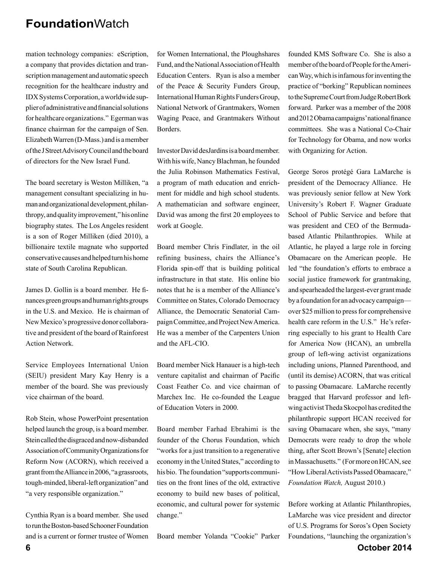mation technology companies: eScription, a company that provides dictation and transcription management and automatic speech recognition for the healthcare industry and IDX Systems Corporation, a worldwide supplier of administrative and financial solutions for healthcare organizations." Egerman was finance chairman for the campaign of Sen. Elizabeth Warren (D-Mass.) and is a member of the J Street Advisory Council and the board of directors for the New Israel Fund.

The board secretary is Weston Milliken, "a management consultant specializing in human and organizational development, philanthropy, and quality improvement," his online biography states. The Los Angeles resident is a son of Roger Milliken (died 2010), a billionaire textile magnate who supported conservative causes and helped turn his home state of South Carolina Republican.

James D. Gollin is a board member. He finances green groups and human rights groups in the U.S. and Mexico. He is chairman of New Mexico's progressive donor collaborative and president of the board of Rainforest Action Network.

Service Employees International Union (SEIU) president Mary Kay Henry is a member of the board. She was previously vice chairman of the board.

Rob Stein, whose PowerPoint presentation helped launch the group, is a board member. Stein called the disgraced and now-disbanded Association of Community Organizations for Reform Now (ACORN), which received a grant from the Alliance in 2006, "a grassroots, tough-minded, liberal-left organization" and "a very responsible organization."

Cynthia Ryan is a board member. She used to run the Boston-based Schooner Foundation and is a current or former trustee of Women for Women International, the Ploughshares Fund, and the National Association of Health Education Centers. Ryan is also a member of the Peace & Security Funders Group, International Human Rights Funders Group, National Network of Grantmakers, Women Waging Peace, and Grantmakers Without **Borders** 

Investor David desJardins is a board member. With his wife, Nancy Blachman, he founded the Julia Robinson Mathematics Festival, a program of math education and enrichment for middle and high school students. A mathematician and software engineer, David was among the first 20 employees to work at Google.

Board member Chris Findlater, in the oil refining business, chairs the Alliance's Florida spin-off that is building political infrastructure in that state. His online bio notes that he is a member of the Alliance's Committee on States, Colorado Democracy Alliance, the Democratic Senatorial Campaign Committee, and Project New America. He was a member of the Carpenters Union and the AFL-CIO.

Board member Nick Hanauer is a high-tech venture capitalist and chairman of Pacific Coast Feather Co. and vice chairman of Marchex Inc. He co-founded the League of Education Voters in 2000.

Board member Farhad Ebrahimi is the founder of the Chorus Foundation, which "works for a just transition to a regenerative economy in the United States," according to his bio. The foundation "supports communities on the front lines of the old, extractive economy to build new bases of political, economic, and cultural power for systemic change."

Board member Yolanda "Cookie" Parker

founded KMS Software Co. She is also a member of the board of People for the American Way, which is infamous for inventing the practice of "borking" Republican nominees to the Supreme Court from Judge Robert Bork forward. Parker was a member of the 2008 and 2012 Obama campaigns' national finance committees. She was a National Co-Chair for Technology for Obama, and now works with Organizing for Action.

George Soros protégé Gara LaMarche is president of the Democracy Alliance. He was previously senior fellow at New York University's Robert F. Wagner Graduate School of Public Service and before that was president and CEO of the Bermudabased Atlantic Philanthropies. While at Atlantic, he played a large role in forcing Obamacare on the American people. He led "the foundation's efforts to embrace a social justice framework for grantmaking, and spearheaded the largest-ever grant made by a foundation for an advocacy campaign over \$25 million to press for comprehensive health care reform in the U.S." He's referring especially to his grant to Health Care for America Now (HCAN), an umbrella group of left-wing activist organizations including unions, Planned Parenthood, and (until its demise) ACORN, that was critical to passing Obamacare. LaMarche recently bragged that Harvard professor and leftwing activist Theda Skocpol has credited the philanthropic support HCAN received for saving Obamacare when, she says, "many Democrats were ready to drop the whole thing, after Scott Brown's [Senate] election in Massachusetts." (For more on HCAN, see "How Liberal Activists Passed Obamacare," *Foundation Watch,* August 2010.)

Before working at Atlantic Philanthropies, LaMarche was vice president and director of U.S. Programs for Soros's Open Society Foundations, "launching the organization's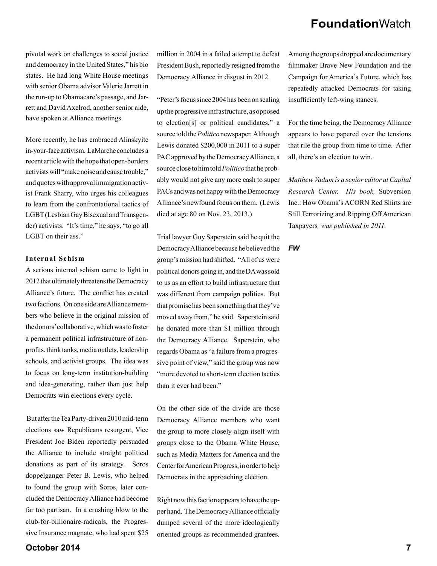pivotal work on challenges to social justice and democracy in the United States," his bio states. He had long White House meetings with senior Obama advisor Valerie Jarrett in the run-up to Obamacare's passage, and Jarrett and David Axelrod, another senior aide, have spoken at Alliance meetings.

More recently, he has embraced Alinskyite in-your-face activism. LaMarche concludes a recent article with the hope that open-borders activists will "make noise and cause trouble," and quotes with approval immigration activist Frank Sharry, who urges his colleagues to learn from the confrontational tactics of LGBT (Lesbian Gay Bisexual and Transgender) activists. "It's time," he says, "to go all LGBT on their ass."

#### **Internal Schism**

A serious internal schism came to light in 2012 that ultimately threatens the Democracy Alliance's future. The conflict has created two factions. On one side are Alliance members who believe in the original mission of the donors' collaborative, which was to foster a permanent political infrastructure of nonprofits, think tanks, media outlets, leadership schools, and activist groups. The idea was to focus on long-term institution-building and idea-generating, rather than just help Democrats win elections every cycle.

 But after the Tea Party-driven 2010 mid-term elections saw Republicans resurgent, Vice President Joe Biden reportedly persuaded the Alliance to include straight political donations as part of its strategy. Soros doppelganger Peter B. Lewis, who helped to found the group with Soros, later concluded the Democracy Alliance had become far too partisan. In a crushing blow to the club-for-billionaire-radicals, the Progressive Insurance magnate, who had spent \$25

million in 2004 in a failed attempt to defeat President Bush, reportedly resigned from the Democracy Alliance in disgust in 2012.

"Peter's focus since 2004 has been on scaling up the progressive infrastructure, as opposed to election[s] or political candidates," a source told the *Politico* newspaper. Although Lewis donated \$200,000 in 2011 to a super PAC approved by the Democracy Alliance, a source close to him told *Politico* that he probably would not give any more cash to super PACs and was not happy with the Democracy Alliance's newfound focus on them. (Lewis died at age 80 on Nov. 23, 2013.)

Trial lawyer Guy Saperstein said he quit the Democracy Alliance because he believed the group's mission had shifted. "All of us were political donors going in, and the DA was sold to us as an effort to build infrastructure that was different from campaign politics. But that promise has been something that they've moved away from," he said. Saperstein said he donated more than \$1 million through the Democracy Alliance. Saperstein, who regards Obama as "a failure from a progressive point of view," said the group was now "more devoted to short-term election tactics than it ever had been."

On the other side of the divide are those Democracy Alliance members who want the group to more closely align itself with groups close to the Obama White House, such as Media Matters for America and the Center for American Progress, in order to help Democrats in the approaching election.

Right now this faction appears to have the upper hand. The Democracy Alliance officially dumped several of the more ideologically oriented groups as recommended grantees.

Among the groups dropped are documentary filmmaker Brave New Foundation and the Campaign for America's Future, which has repeatedly attacked Democrats for taking insufficiently left-wing stances.

For the time being, the Democracy Alliance appears to have papered over the tensions that rile the group from time to time. After all, there's an election to win.

*Matthew Vadum is a senior editor at Capital Research Center. His book,* Subversion Inc.: How Obama's ACORN Red Shirts are Still Terrorizing and Ripping Off American Taxpayers*, was published in 2011.*

*FW*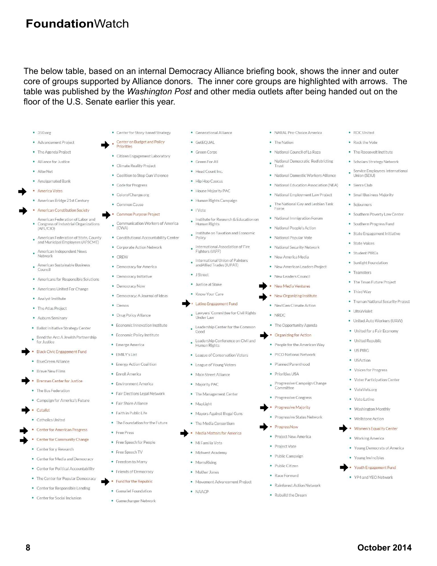The below table, based on an internal Democracy Alliance briefing book, shows the inner and outer core of groups supported by Alliance donors. The inner core groups are highlighted with arrows. The table was published by the *Washington Post* and other media outlets after being handed out on the floor of the U.S. Senate earlier this year.

- $350.0<sub>re</sub>$
- · Advancement Project
- · The Agenda Project
- Alliance for Justice
- · AlterNet
- · Amalgamated Bank
- America Votes
- · American Bridge 21st Century
- · American Constitution Society
- American Federation of Labor and American Federation of Labor and<br>Congress of Industrial Organizations<br>(AFL/CIO)
- American Federation of State, County and Municipal Employees (AFSCME)
- American Independent News ٠ Network
- American Sustainable Business Council
- Americans for Responsible Solutions
- · Americans United For Change
- · Analyst Institute
- The Atlas Project
- · Auburn Seminary
- · Ballot Initiative Strategy Center
- Bend the Arc: A Jewish Partnership for Justice
- · Black Civic Engagement Fund
- · BlueGreen Alliance
- · Braye New Films
- **Brennan Center for Justice** 
	- The Bus Federation
	- Campaign for America's Future
- Catalist
- · Catholics United
- Center for American Progress
- Center for Community Change
- Center for y Research
- Center for Media and Democracy
- Center for Political Accountability
- The Center for Popular Democracy
- Center for Responsible Lending
- Center for Social Inclusion

• Generational Alliance • Center for Story-based Strategy

Center on Budget and Policy

· Climate Reality Project

• Code for Progress

• ColorofChange.org

Common Purpose Project

• Corporate Action Network

· Democracy for America

· Democracy: A Journal of Ideas

· Economic Innovation Institute

· Economic Policy Institute

• Energy Action Coalition

· Environment America

• Fair Share Alliance

· Faith in Public Life

• Free Speech for People

· Free Speech TV

· Freedom to Marry

• Friends of Democracy

Fund for the Republic

Gamaliel Foundation

· Gamechanger Network

 $\bullet$ 

• Free Press

· Fair Flections Legal Network

. The Foundation for the Future

· Emerge America

· FMILY's List

· Enroll America

· Democracy Initiative

• Drug Policy Alliance

• Democracy Now

• Constitutional Accountability Center

• Common Cause

E

٠  $(CWA)$ 

· CREW

· Demos

Priorities

- · GetEOUAL
- $GraenConns$ • Citizen Engagement Laboratory
	- Green For All
- Head Count Inc. · Coalition to Stop Gun Violence
	- Hip Hop Caucus
		- House Majority PAC
		- · Human Rights Campaign
	- I Vote
- Institute for Research & Education on Communication Workers of America Human Rights
	- Institute on Taxation and Economic • Institu<br>Policy
	- International Association of Fire<br>Fighters (IAFF)
	- International Union of Painters andAllied Trades (IUPAT)
	- $\bullet$  1 Street
	- Justice at Stake
	- · Know Your Care Latino Engagement Fund
	- Lawyers' Committee for Civil Rights Under Law
	- Leadership Center for the Common Good
	- Leadership Conference on Civil and Human Rights
	- League of Conservation Voters
	- League of Young Voters
	- · Main Street Alliance
	- · Majority PAC
	- The Management Center
	- · MapLight
	- · Mayors Against Illegal Guns
	- . The Media Consortium
	- Media Matters for America
	- · Mi Familia Vota
	- · Midwest Academy
	- · MomsRising
	- Mother Jones
	- · Movement Advancement Project

**8 October 2014**

· NAACP

· NARAL Pro-Choice America

· ROC United

• Rock the Vote

Union (SEIU)

· Sierra Club

· Soiourners

· State Voices

· Student PIRGs

• Teamsters

• Third Way

• UltraViolet

· Sunlight Foundation

. The Texas Future Project

• Truman National Security Project

· United Auto Workers (UAW)

• United for a Fair Economy

· United Republic

• Voices for Progress

• Washington Monthly

• Women's Equality Center

• Young Democrats of America

Youth Engagement Fund

. YP4 and YEO Network

• Wellstone Action

• Working America

• Young Invincibles

· VoteVets.org

· Voto Latino

• Voter Participation Center

 $\bullet$  LISPIRG

· USAction

. The Roosevelt Institute

• Small Business Majority

· Southern Poverty Law Center

• Southern Progress Fund

· State Engagement Initiative

· Scholars Strategy Network

Service Employees International

- The Nation
- · National Council of La Raza National Democratic Redistricting
- ٠
- · National Domestic Workers Alliance
- · National Education Association (NEA)
- . National Employment Law Project
- . The National Gay and Lesbian Task Enro
- · National Immigration Forum
- · National People's Action
- · National Popular Vote
- · National Security Network
- · New America Media
- · New American Leaders Project
- · New Leaders Council
- New Media Ventures

#### New Organizing Institute

- · NextGen Climate Action
- · NRDC
- . The Opportunity Agenda **Organizing for Action**
- · People for the American Way
- 
- · PICO National Network
- · Planned Parenthood
- · Priorities USA
- Progressive Campaign Change Committee
- · Progressive Congress

· Progressive States Network

· Progressive Majority

· Project New America

ProgressNow

· Project Vote

· Public Campaign

Race Forward

· Rebuild the Dream

· Rainforest Action Network

· Public Citizen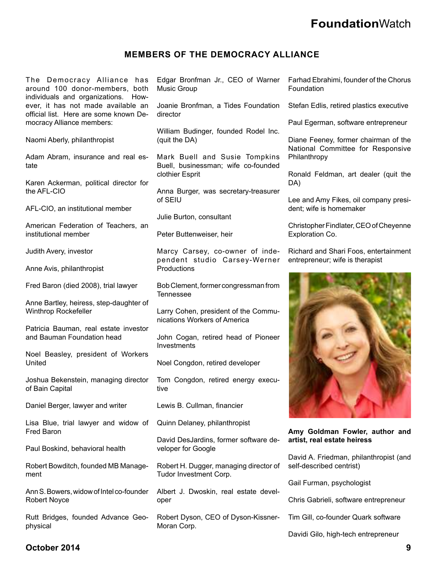## **MEMBERS OF THE DEMOCRACY ALLIANCE**

The Democracy Alliance has around 100 donor-members, both individuals and organizations. However, it has not made available an official list. Here are some known Democracy Alliance members:

Naomi Aberly, philanthropist

Adam Abram, insurance and real estate

Karen Ackerman, political director for the AFL-CIO

AFL-CIO, an institutional member

American Federation of Teachers, an institutional member

Judith Avery, investor

Anne Avis, philanthropist

Fred Baron (died 2008), trial lawyer

Anne Bartley, heiress, step-daughter of Winthrop Rockefeller

Patricia Bauman, real estate investor and Bauman Foundation head

Noel Beasley, president of Workers United

Joshua Bekenstein, managing director of Bain Capital

Daniel Berger, lawyer and writer

Lisa Blue, trial lawyer and widow of Fred Baron

Paul Boskind, behavioral health

Robert Bowditch, founded MB Management

Ann S. Bowers, widow of Intel co-founder Robert Noyce

Rutt Bridges, founded Advance Geophysical

Edgar Bronfman Jr., CEO of Warner Music Group

Joanie Bronfman, a Tides Foundation director

William Budinger, founded Rodel Inc. (quit the DA)

Mark Buell and Susie Tompkins Buell, businessman; wife co-founded clothier Esprit

Anna Burger, was secretary-treasurer of SEIU

Julie Burton, consultant

Peter Buttenweiser, heir

Marcy Carsey, co-owner of independent studio Carsey-Werner **Productions** 

Bob Clement, former congressman from Tennessee

Larry Cohen, president of the Communications Workers of America

John Cogan, retired head of Pioneer Investments

Noel Congdon, retired developer

Tom Congdon, retired energy executive

Lewis B. Cullman, financier

Quinn Delaney, philanthropist

David DesJardins, former software developer for Google

Robert H. Dugger, managing director of Tudor Investment Corp.

Albert J. Dwoskin, real estate developer

Robert Dyson, CEO of Dyson-Kissner-Moran Corp.

Farhad Ebrahimi, founder of the Chorus Foundation

Stefan Edlis, retired plastics executive

Paul Egerman, software entrepreneur

Diane Feeney, former chairman of the National Committee for Responsive Philanthropy

Ronald Feldman, art dealer (quit the DA)

Lee and Amy Fikes, oil company president; wife is homemaker

Christopher Findlater, CEO of Cheyenne Exploration Co.

Richard and Shari Foos, entertainment entrepreneur; wife is therapist



**Amy Goldman Fowler, author and artist, real estate heiress**

David A. Friedman, philanthropist (and self-described centrist)

Gail Furman, psychologist

Chris Gabrieli, software entrepreneur

Tim Gill, co-founder Quark software

Davidi Gilo, high-tech entrepreneur

## **October 2014 9**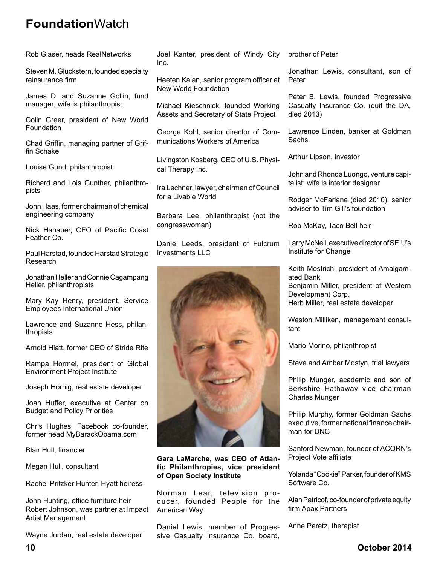Rob Glaser, heads RealNetworks

Steven M. Gluckstern, founded specialty reinsurance firm

James D. and Suzanne Gollin, fund manager; wife is philanthropist

Colin Greer, president of New World Foundation

Chad Griffin, managing partner of Griffin Schake

Louise Gund, philanthropist

Richard and Lois Gunther, philanthropists

John Haas, former chairman of chemical engineering company

Nick Hanauer, CEO of Pacific Coast Feather Co.

Paul Harstad, founded Harstad Strategic Research

Jonathan Heller and Connie Cagampang Heller, philanthropists

Mary Kay Henry, president, Service Employees International Union

Lawrence and Suzanne Hess, philanthropists

Arnold Hiatt, former CEO of Stride Rite

Rampa Hormel, president of Global Environment Project Institute

Joseph Hornig, real estate developer

Joan Huffer, executive at Center on Budget and Policy Priorities

Chris Hughes, Facebook co-founder, former head MyBarackObama.com

Blair Hull, financier

Megan Hull, consultant

Rachel Pritzker Hunter, Hyatt heiress

John Hunting, office furniture heir Robert Johnson, was partner at Impact Artist Management

Wayne Jordan, real estate developer

Joel Kanter, president of Windy City Inc.

Heeten Kalan, senior program officer at New World Foundation

Michael Kieschnick, founded Working Assets and Secretary of State Project

George Kohl, senior director of Communications Workers of America

Livingston Kosberg, CEO of U.S. Physical Therapy Inc.

Ira Lechner, lawyer, chairman of Council for a Livable World

Barbara Lee, philanthropist (not the congresswoman)

Daniel Leeds, president of Fulcrum Investments LLC



**Gara LaMarche, was CEO of Atlantic Philanthropies, vice president of Open Society Institute**

Norman Lear, television producer, founded People for the American Way

Daniel Lewis, member of Progressive Casualty Insurance Co. board, brother of Peter

Jonathan Lewis, consultant, son of Peter

Peter B. Lewis, founded Progressive Casualty Insurance Co. (quit the DA, died 2013)

Lawrence Linden, banker at Goldman **Sachs** 

Arthur Lipson, investor

John and Rhonda Luongo, venture capitalist; wife is interior designer

Rodger McFarlane (died 2010), senior adviser to Tim Gill's foundation

Rob McKay, Taco Bell heir

Larry McNeil, executive director of SEIU's Institute for Change

Keith Mestrich, president of Amalgamated Bank

Benjamin Miller, president of Western Development Corp.

Herb Miller, real estate developer

Weston Milliken, management consultant

Mario Morino, philanthropist

Steve and Amber Mostyn, trial lawyers

Philip Munger, academic and son of Berkshire Hathaway vice chairman Charles Munger

Philip Murphy, former Goldman Sachs executive, former national finance chairman for DNC

Sanford Newman, founder of ACORN's Project Vote affiliate

Yolanda "Cookie" Parker, founder of KMS Software Co.

Alan Patricof, co-founder of private equity firm Apax Partners

Anne Peretz, therapist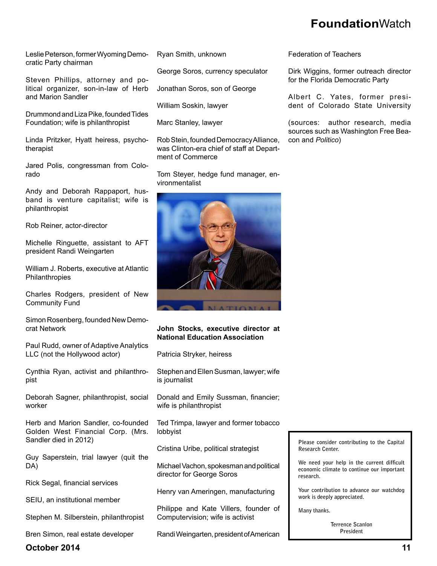Leslie Peterson, former Wyoming Democratic Party chairman

Steven Phillips, attorney and political organizer, son-in-law of Herb and Marion Sandler

Drummond and Liza Pike, founded Tides Foundation; wife is philanthropist

Linda Pritzker, Hyatt heiress, psychotherapist

Jared Polis, congressman from Colorado

Andy and Deborah Rappaport, husband is venture capitalist; wife is philanthropist

Rob Reiner, actor-director

Michelle Ringuette, assistant to AFT president Randi Weingarten

William J. Roberts, executive at Atlantic Philanthropies

Charles Rodgers, president of New Community Fund

Simon Rosenberg, founded New Democrat Network

Paul Rudd, owner of Adaptive Analytics LLC (not the Hollywood actor)

Cynthia Ryan, activist and philanthropist

Deborah Sagner, philanthropist, social worker

Herb and Marion Sandler, co-founded Golden West Financial Corp. (Mrs. Sandler died in 2012)

Guy Saperstein, trial lawyer (quit the DA)

Rick Segal, financial services

SEIU, an institutional member

Stephen M. Silberstein, philanthropist

Bren Simon, real estate developer

Ryan Smith, unknown

George Soros, currency speculator

Jonathan Soros, son of George

William Soskin, lawyer

Marc Stanley, lawyer

Rob Stein, founded Democracy Alliance, was Clinton-era chief of staff at Department of Commerce

Tom Steyer, hedge fund manager, environmentalist



### **John Stocks, executive director at National Education Association**

Patricia Stryker, heiress

Stephen and Ellen Susman, lawyer; wife is journalist

Donald and Emily Sussman, financier; wife is philanthropist

Ted Trimpa, lawyer and former tobacco lobbyist

Cristina Uribe, political strategist

Michael Vachon, spokesman and political director for George Soros

Henry van Ameringen, manufacturing

Philippe and Kate Villers, founder of Computervision; wife is activist

Randi Weingarten, president of American

Federation of Teachers

Dirk Wiggins, former outreach director for the Florida Democratic Party

Albert C. Yates, former president of Colorado State University

(sources: author research, media sources such as Washington Free Beacon and *Politico*)

**Please consider contributing to the Capital Research Center.**

We need your help in the current difficult **economic climate to continue our important research.** 

**Your contribution to advance our watchdog work is deeply appreciated.** 

**Many thanks.** 

**Terrence Scanlon President**